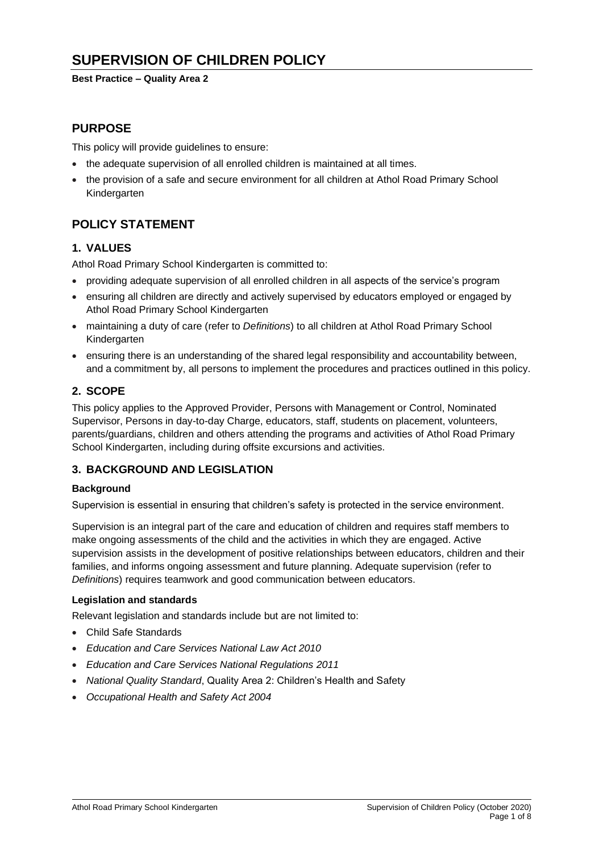# **SUPERVISION OF CHILDREN POLICY**

**Best Practice – Quality Area 2**

## **PURPOSE**

This policy will provide guidelines to ensure:

- the adequate supervision of all enrolled children is maintained at all times.
- the provision of a safe and secure environment for all children at Athol Road Primary School Kindergarten

## **POLICY STATEMENT**

### **1. VALUES**

Athol Road Primary School Kindergarten is committed to:

- providing adequate supervision of all enrolled children in all aspects of the service's program
- ensuring all children are directly and actively supervised by educators employed or engaged by Athol Road Primary School Kindergarten
- maintaining a duty of care (refer to *Definitions*) to all children at Athol Road Primary School Kindergarten
- ensuring there is an understanding of the shared legal responsibility and accountability between, and a commitment by, all persons to implement the procedures and practices outlined in this policy.

### **2. SCOPE**

This policy applies to the Approved Provider, Persons with Management or Control, Nominated Supervisor, Persons in day-to-day Charge, educators, staff, students on placement, volunteers, parents/guardians, children and others attending the programs and activities of Athol Road Primary School Kindergarten, including during offsite excursions and activities.

## **3. BACKGROUND AND LEGISLATION**

### **Background**

Supervision is essential in ensuring that children's safety is protected in the service environment.

Supervision is an integral part of the care and education of children and requires staff members to make ongoing assessments of the child and the activities in which they are engaged. Active supervision assists in the development of positive relationships between educators, children and their families, and informs ongoing assessment and future planning. Adequate supervision (refer to *Definitions*) requires teamwork and good communication between educators.

### **Legislation and standards**

Relevant legislation and standards include but are not limited to:

- Child Safe Standards
- *Education and Care Services National Law Act 2010*
- *Education and Care Services National Regulations 2011*
- *National Quality Standard*, Quality Area 2: Children's Health and Safety
- *Occupational Health and Safety Act 2004*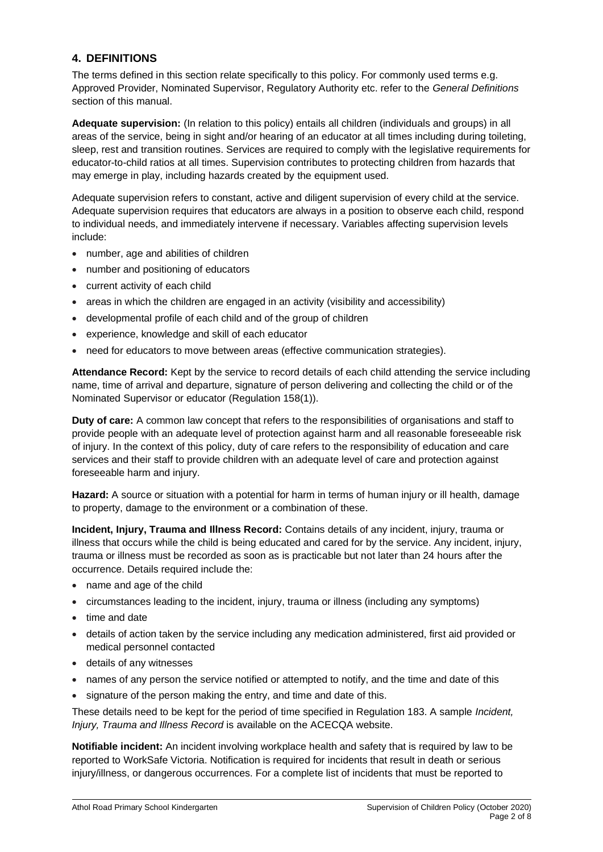### **4. DEFINITIONS**

The terms defined in this section relate specifically to this policy. For commonly used terms e.g. Approved Provider, Nominated Supervisor, Regulatory Authority etc. refer to the *General Definitions* section of this manual.

**Adequate supervision:** (In relation to this policy) entails all children (individuals and groups) in all areas of the service, being in sight and/or hearing of an educator at all times including during toileting. sleep, rest and transition routines. Services are required to comply with the legislative requirements for educator-to-child ratios at all times. Supervision contributes to protecting children from hazards that may emerge in play, including hazards created by the equipment used.

Adequate supervision refers to constant, active and diligent supervision of every child at the service. Adequate supervision requires that educators are always in a position to observe each child, respond to individual needs, and immediately intervene if necessary. Variables affecting supervision levels include:

- number, age and abilities of children
- number and positioning of educators
- current activity of each child
- areas in which the children are engaged in an activity (visibility and accessibility)
- developmental profile of each child and of the group of children
- experience, knowledge and skill of each educator
- need for educators to move between areas (effective communication strategies).

**Attendance Record:** Kept by the service to record details of each child attending the service including name, time of arrival and departure, signature of person delivering and collecting the child or of the Nominated Supervisor or educator (Regulation 158(1)).

**Duty of care:** A common law concept that refers to the responsibilities of organisations and staff to provide people with an adequate level of protection against harm and all reasonable foreseeable risk of injury. In the context of this policy, duty of care refers to the responsibility of education and care services and their staff to provide children with an adequate level of care and protection against foreseeable harm and injury.

**Hazard:** A source or situation with a potential for harm in terms of human injury or ill health, damage to property, damage to the environment or a combination of these.

**Incident, Injury, Trauma and Illness Record:** Contains details of any incident, injury, trauma or illness that occurs while the child is being educated and cared for by the service. Any incident, injury, trauma or illness must be recorded as soon as is practicable but not later than 24 hours after the occurrence. Details required include the:

- name and age of the child
- circumstances leading to the incident, injury, trauma or illness (including any symptoms)
- time and date
- details of action taken by the service including any medication administered, first aid provided or medical personnel contacted
- details of any witnesses
- names of any person the service notified or attempted to notify, and the time and date of this
- signature of the person making the entry, and time and date of this.

These details need to be kept for the period of time specified in Regulation 183. A sample *Incident, Injury, Trauma and Illness Record* is available on the ACECQA website.

**Notifiable incident:** An incident involving workplace health and safety that is required by law to be reported to WorkSafe Victoria. Notification is required for incidents that result in death or serious injury/illness, or dangerous occurrences. For a complete list of incidents that must be reported to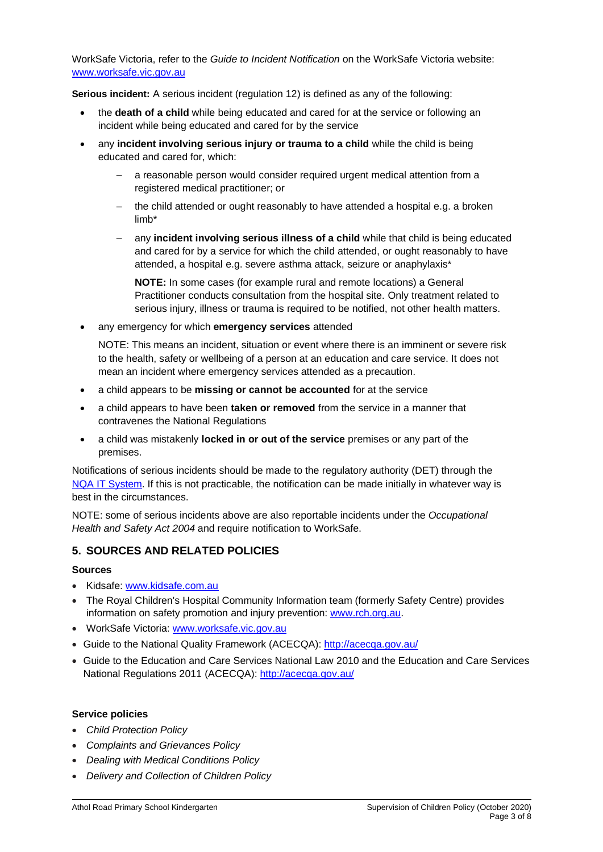WorkSafe Victoria, refer to the *Guide to Incident Notification* on the WorkSafe Victoria website: [www.worksafe.vic.gov.au](http://www.worksafe.vic.gov.au/)

**Serious incident:** A serious incident (regulation 12) is defined as any of the following:

- the **death of a child** while being educated and cared for at the service or following an incident while being educated and cared for by the service
- any **incident involving serious injury or trauma to a child** while the child is being educated and cared for, which:
	- a reasonable person would consider required urgent medical attention from a registered medical practitioner; or
	- the child attended or ought reasonably to have attended a hospital e.g. a broken limb\*
	- any **incident involving serious illness of a child** while that child is being educated and cared for by a service for which the child attended, or ought reasonably to have attended, a hospital e.g. severe asthma attack, seizure or anaphylaxis\*

**NOTE:** In some cases (for example rural and remote locations) a General Practitioner conducts consultation from the hospital site. Only treatment related to serious injury, illness or trauma is required to be notified, not other health matters.

• any emergency for which **emergency services** attended

NOTE: This means an incident, situation or event where there is an imminent or severe risk to the health, safety or wellbeing of a person at an education and care service. It does not mean an incident where emergency services attended as a precaution.

- a child appears to be **missing or cannot be accounted** for at the service
- a child appears to have been **taken or removed** from the service in a manner that contravenes the National Regulations
- a child was mistakenly **locked in or out of the service** premises or any part of the premises.

Notifications of serious incidents should be made to the regulatory authority (DET) through the [NQA IT System.](https://www.acecqa.gov.au/resources/national-quality-agenda-it-system) If this is not practicable, the notification can be made initially in whatever way is best in the circumstances.

NOTE: some of serious incidents above are also reportable incidents under the *Occupational Health and Safety Act 2004* and require notification to WorkSafe.

### **5. SOURCES AND RELATED POLICIES**

### **Sources**

- Kidsafe: [www.kidsafe.com.au](http://www.kidsafe.com.au/)
- The Royal Children's Hospital Community Information team (formerly Safety Centre) provides information on safety promotion and injury prevention: [www.rch.org.au.](https://www.rch.org.au/home/)
- WorkSafe Victoria: [www.worksafe.vic.gov.au](http://www.worksafe.vic.gov.au/)
- Guide to the National Quality Framework (ACECQA):<http://acecqa.gov.au/>
- Guide to the Education and Care Services National Law 2010 and the Education and Care Services National Regulations 2011 (ACECQA):<http://acecqa.gov.au/>

### **Service policies**

- *Child Protection Policy*
- *Complaints and Grievances Policy*
- *Dealing with Medical Conditions Policy*
- *Delivery and Collection of Children Policy*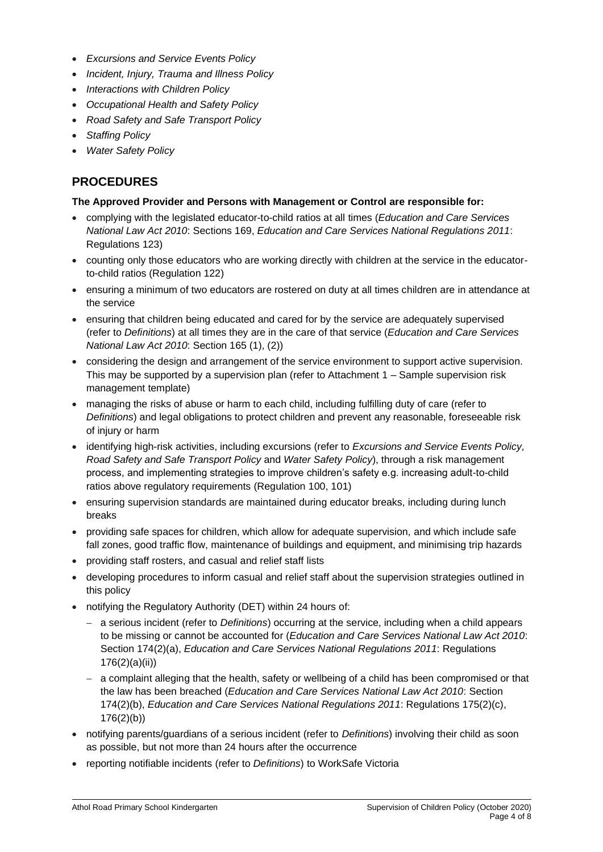- *Excursions and Service Events Policy*
- *Incident, Injury, Trauma and Illness Policy*
- *Interactions with Children Policy*
- *Occupational Health and Safety Policy*
- *Road Safety and Safe Transport Policy*
- *Staffing Policy*
- *Water Safety Policy*

## **PROCEDURES**

### **The Approved Provider and Persons with Management or Control are responsible for:**

- complying with the legislated educator-to-child ratios at all times (*Education and Care Services National Law Act 2010*: Sections 169, *Education and Care Services National Regulations 2011*: Regulations 123)
- counting only those educators who are working directly with children at the service in the educatorto-child ratios (Regulation 122)
- ensuring a minimum of two educators are rostered on duty at all times children are in attendance at the service
- ensuring that children being educated and cared for by the service are adequately supervised (refer to *Definitions*) at all times they are in the care of that service (*Education and Care Services National Law Act 2010*: Section 165 (1), (2))
- considering the design and arrangement of the service environment to support active supervision. This may be supported by a supervision plan (refer to Attachment 1 – Sample supervision risk management template)
- managing the risks of abuse or harm to each child, including fulfilling duty of care (refer to *Definitions*) and legal obligations to protect children and prevent any reasonable, foreseeable risk of injury or harm
- identifying high-risk activities, including excursions (refer to *Excursions and Service Events Policy, Road Safety and Safe Transport Policy* and *Water Safety Policy*), through a risk management process, and implementing strategies to improve children's safety e.g. increasing adult-to-child ratios above regulatory requirements (Regulation 100, 101)
- ensuring supervision standards are maintained during educator breaks, including during lunch breaks
- providing safe spaces for children, which allow for adequate supervision, and which include safe fall zones, good traffic flow, maintenance of buildings and equipment, and minimising trip hazards
- providing staff rosters, and casual and relief staff lists
- developing procedures to inform casual and relief staff about the supervision strategies outlined in this policy
- notifying the Regulatory Authority (DET) within 24 hours of:
	- − a serious incident (refer to *Definitions*) occurring at the service, including when a child appears to be missing or cannot be accounted for (*Education and Care Services National Law Act 2010*: Section 174(2)(a), *Education and Care Services National Regulations 2011*: Regulations 176(2)(a)(ii))
	- − a complaint alleging that the health, safety or wellbeing of a child has been compromised or that the law has been breached (*Education and Care Services National Law Act 2010*: Section 174(2)(b), *Education and Care Services National Regulations 2011*: Regulations 175(2)(c), 176(2)(b))
- notifying parents/guardians of a serious incident (refer to *Definitions*) involving their child as soon as possible, but not more than 24 hours after the occurrence
- reporting notifiable incidents (refer to *Definitions*) to WorkSafe Victoria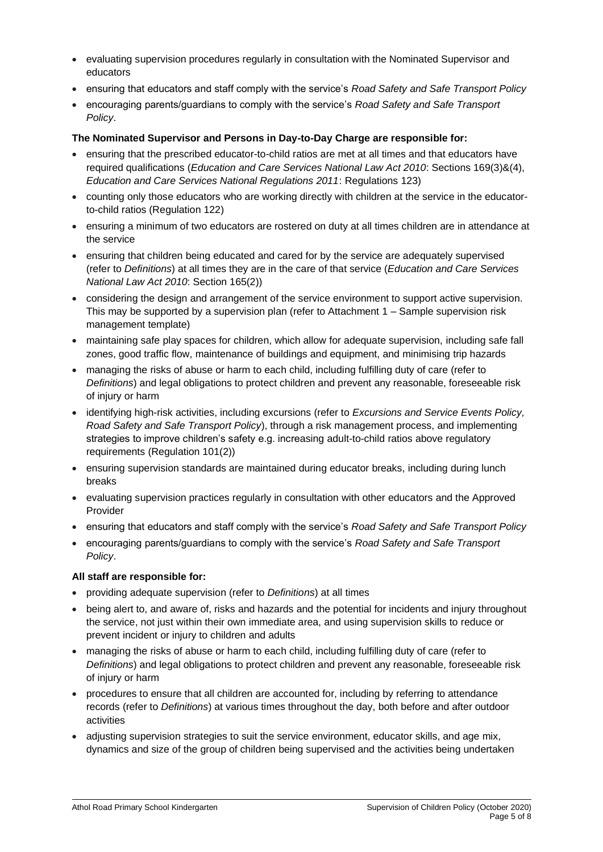- evaluating supervision procedures regularly in consultation with the Nominated Supervisor and educators
- ensuring that educators and staff comply with the service's *Road Safety and Safe Transport Policy*
- encouraging parents/guardians to comply with the service's *Road Safety and Safe Transport Policy*.

### **The Nominated Supervisor and Persons in Day-to-Day Charge are responsible for:**

- ensuring that the prescribed educator-to-child ratios are met at all times and that educators have required qualifications (*Education and Care Services National Law Act 2010*: Sections 169(3)&(4), *Education and Care Services National Regulations 2011*: Regulations 123)
- counting only those educators who are working directly with children at the service in the educatorto-child ratios (Regulation 122)
- ensuring a minimum of two educators are rostered on duty at all times children are in attendance at the service
- ensuring that children being educated and cared for by the service are adequately supervised (refer to *Definitions*) at all times they are in the care of that service (*Education and Care Services National Law Act 2010*: Section 165(2))
- considering the design and arrangement of the service environment to support active supervision. This may be supported by a supervision plan (refer to Attachment 1 – Sample supervision risk management template)
- maintaining safe play spaces for children, which allow for adequate supervision, including safe fall zones, good traffic flow, maintenance of buildings and equipment, and minimising trip hazards
- managing the risks of abuse or harm to each child, including fulfilling duty of care (refer to *Definitions*) and legal obligations to protect children and prevent any reasonable, foreseeable risk of injury or harm
- identifying high-risk activities, including excursions (refer to *Excursions and Service Events Policy, Road Safety and Safe Transport Policy*), through a risk management process, and implementing strategies to improve children's safety e.g. increasing adult-to-child ratios above regulatory requirements (Regulation 101(2))
- ensuring supervision standards are maintained during educator breaks, including during lunch breaks
- evaluating supervision practices regularly in consultation with other educators and the Approved Provider
- ensuring that educators and staff comply with the service's *Road Safety and Safe Transport Policy*
- encouraging parents/guardians to comply with the service's *Road Safety and Safe Transport Policy*.

### **All staff are responsible for:**

- providing adequate supervision (refer to *Definitions*) at all times
- being alert to, and aware of, risks and hazards and the potential for incidents and injury throughout the service, not just within their own immediate area, and using supervision skills to reduce or prevent incident or injury to children and adults
- managing the risks of abuse or harm to each child, including fulfilling duty of care (refer to *Definitions*) and legal obligations to protect children and prevent any reasonable, foreseeable risk of injury or harm
- procedures to ensure that all children are accounted for, including by referring to attendance records (refer to *Definitions*) at various times throughout the day, both before and after outdoor activities
- adjusting supervision strategies to suit the service environment, educator skills, and age mix, dynamics and size of the group of children being supervised and the activities being undertaken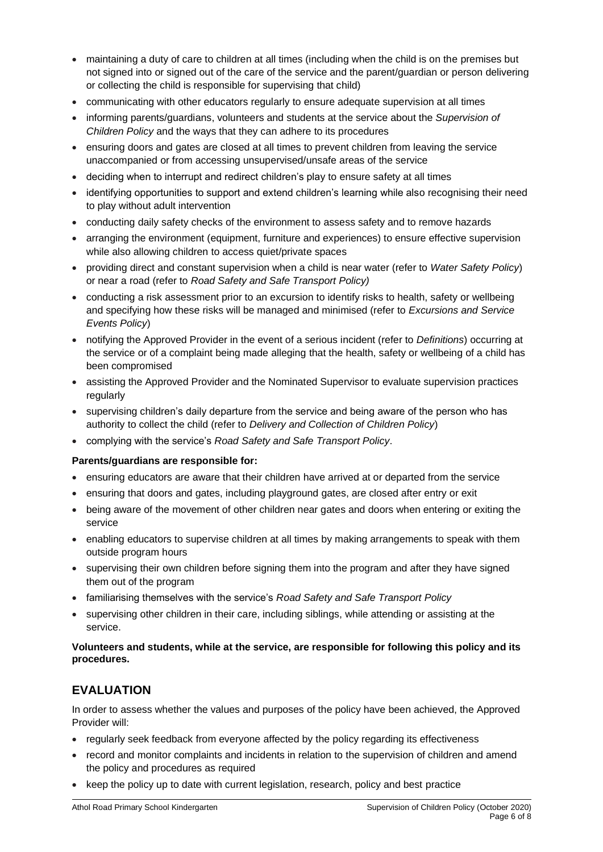- maintaining a duty of care to children at all times (including when the child is on the premises but not signed into or signed out of the care of the service and the parent/guardian or person delivering or collecting the child is responsible for supervising that child)
- communicating with other educators regularly to ensure adequate supervision at all times
- informing parents/guardians, volunteers and students at the service about the *Supervision of Children Policy* and the ways that they can adhere to its procedures
- ensuring doors and gates are closed at all times to prevent children from leaving the service unaccompanied or from accessing unsupervised/unsafe areas of the service
- deciding when to interrupt and redirect children's play to ensure safety at all times
- identifying opportunities to support and extend children's learning while also recognising their need to play without adult intervention
- conducting daily safety checks of the environment to assess safety and to remove hazards
- arranging the environment (equipment, furniture and experiences) to ensure effective supervision while also allowing children to access quiet/private spaces
- providing direct and constant supervision when a child is near water (refer to *Water Safety Policy*) or near a road (refer to *Road Safety and Safe Transport Policy)*
- conducting a risk assessment prior to an excursion to identify risks to health, safety or wellbeing and specifying how these risks will be managed and minimised (refer to *Excursions and Service Events Policy*)
- notifying the Approved Provider in the event of a serious incident (refer to *Definitions*) occurring at the service or of a complaint being made alleging that the health, safety or wellbeing of a child has been compromised
- assisting the Approved Provider and the Nominated Supervisor to evaluate supervision practices regularly
- supervising children's daily departure from the service and being aware of the person who has authority to collect the child (refer to *Delivery and Collection of Children Policy*)
- complying with the service's *Road Safety and Safe Transport Policy*.

### **Parents/guardians are responsible for:**

- ensuring educators are aware that their children have arrived at or departed from the service
- ensuring that doors and gates, including playground gates, are closed after entry or exit
- being aware of the movement of other children near gates and doors when entering or exiting the service
- enabling educators to supervise children at all times by making arrangements to speak with them outside program hours
- supervising their own children before signing them into the program and after they have signed them out of the program
- familiarising themselves with the service's *Road Safety and Safe Transport Policy*
- supervising other children in their care, including siblings, while attending or assisting at the service.

### **Volunteers and students, while at the service, are responsible for following this policy and its procedures.**

### **EVALUATION**

In order to assess whether the values and purposes of the policy have been achieved, the Approved Provider will:

- regularly seek feedback from everyone affected by the policy regarding its effectiveness
- record and monitor complaints and incidents in relation to the supervision of children and amend the policy and procedures as required
- keep the policy up to date with current legislation, research, policy and best practice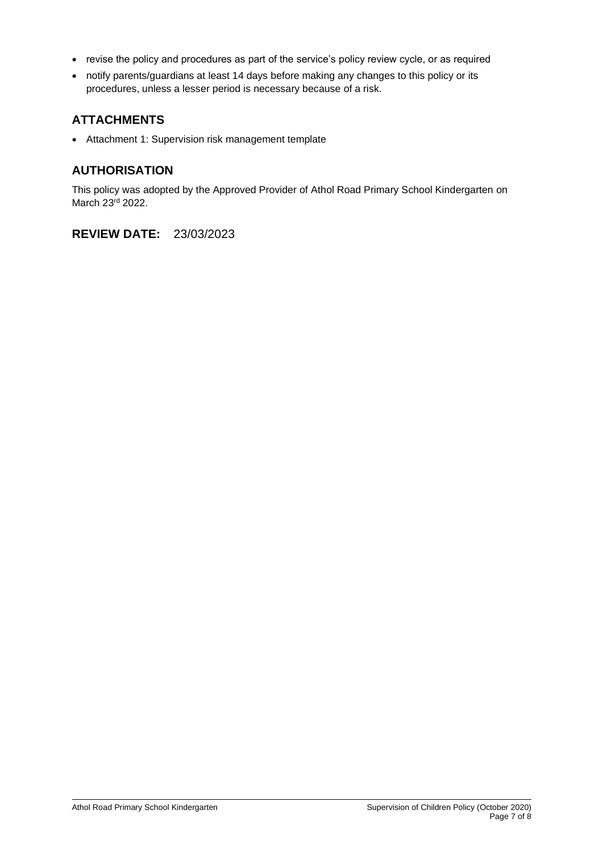- revise the policy and procedures as part of the service's policy review cycle, or as required
- notify parents/guardians at least 14 days before making any changes to this policy or its procedures, unless a lesser period is necessary because of a risk.

## **ATTACHMENTS**

• Attachment 1: Supervision risk management template

## **AUTHORISATION**

This policy was adopted by the Approved Provider of Athol Road Primary School Kindergarten on March 23rd 2022.

**REVIEW DATE:** 23/03/2023